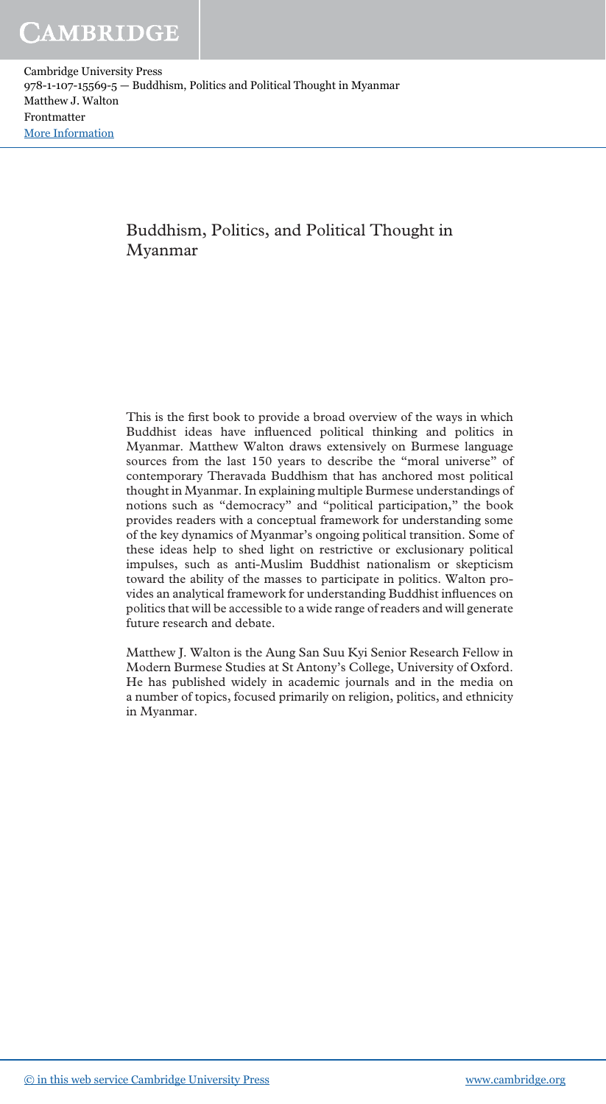#### Buddhism, Politics, and Political Thought in Myanmar

This is the first book to provide a broad overview of the ways in which Buddhist ideas have influenced political thinking and politics in Myanmar. Matthew Walton draws extensively on Burmese language sources from the last 150 years to describe the "moral universe" of contemporary Theravada Buddhism that has anchored most political thought in Myanmar. In explaining multiple Burmese understandings of notions such as "democracy" and "political participation," the book provides readers with a conceptual framework for understanding some of the key dynamics of Myanmar's ongoing political transition. Some of these ideas help to shed light on restrictive or exclusionary political impulses, such as anti-Muslim Buddhist nationalism or skepticism toward the ability of the masses to participate in politics. Walton provides an analytical framework for understanding Buddhist influences on politics that will be accessible to a wide range of readers and will generate future research and debate.

Matthew J. Walton is the Aung San Suu Kyi Senior Research Fellow in Modern Burmese Studies at St Antony's College, University of Oxford. He has published widely in academic journals and in the media on a number of topics, focused primarily on religion, politics, and ethnicity in Myanmar.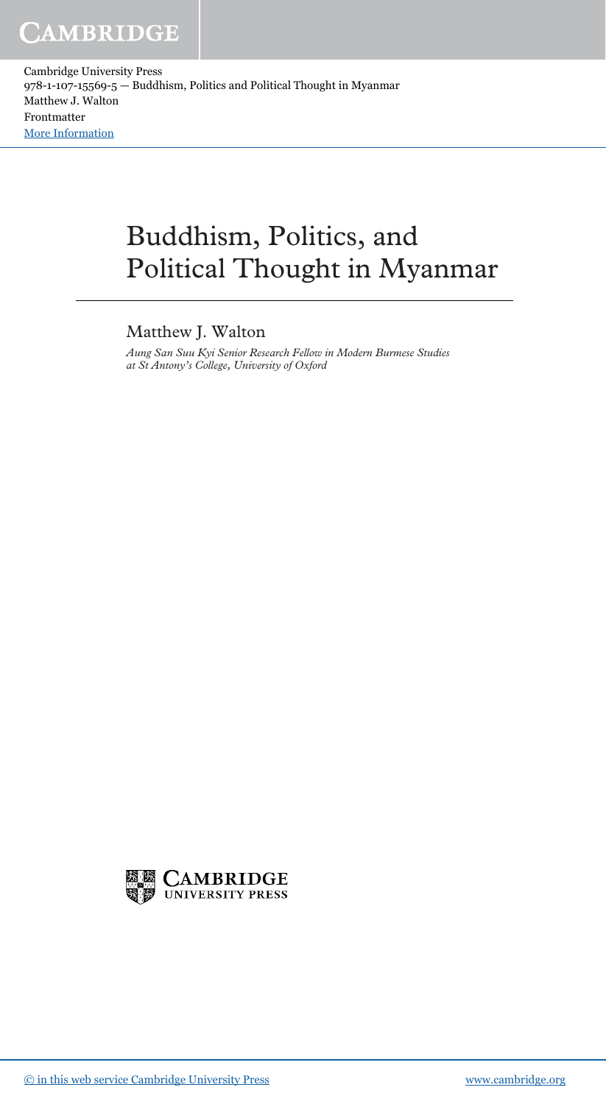Cambridge University Press 978-1-107-15569-5 — Buddhism, Politics and Political Thought in Myanmar Matthew J. Walton Frontmatter [More Information](www.cambridge.org/9781107155695)

# Buddhism, Politics, and Political Thought in Myanmar

Matthew J. Walton

Aung San Suu Kyi Senior Research Fellow in Modern Burmese Studies at St Antony's College, University of Oxford

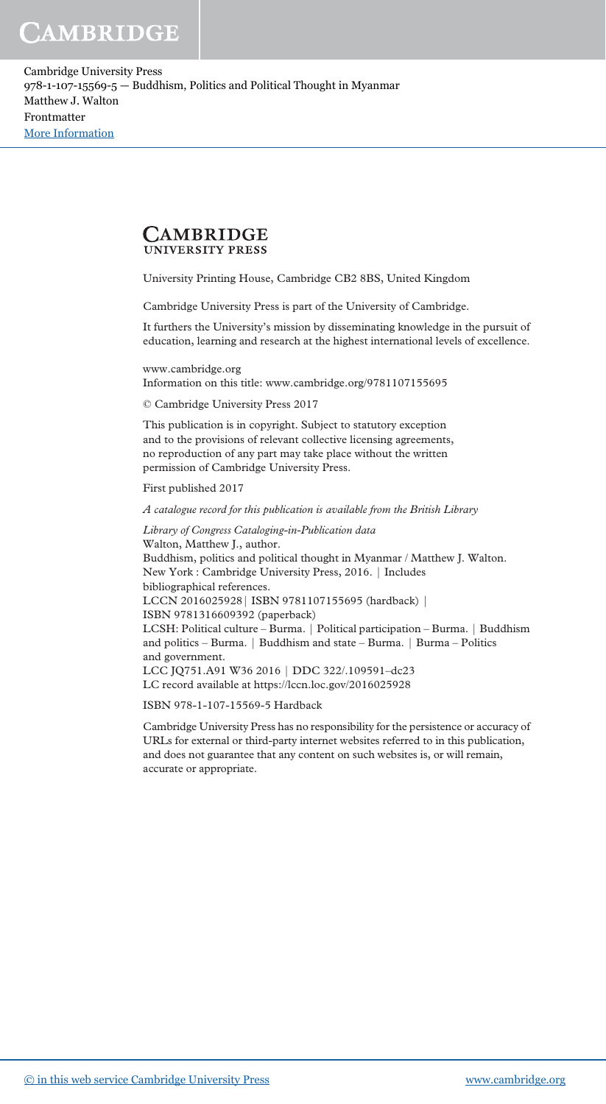Cambridge University Press 978-1-107-15569-5 — Buddhism, Politics and Political Thought in Myanmar Matthew J. Walton Frontmatter [More Information](www.cambridge.org/9781107155695)

#### **CAMBRIDGE UNIVERSITY PRESS**

University Printing House, Cambridge CB2 8BS, United Kingdom

Cambridge University Press is part of the University of Cambridge.

It furthers the University's mission by disseminating knowledge in the pursuit of education, learning and research at the highest international levels of excellence.

www.cambridge.org Information on this title: www.cambridge.org/9781107155695

© Cambridge University Press 2017

This publication is in copyright. Subject to statutory exception and to the provisions of relevant collective licensing agreements, no reproduction of any part may take place without the written permission of Cambridge University Press.

First published 2017

A catalogue record for this publication is available from the British Library

Library of Congress Cataloging-in-Publication data Walton, Matthew J., author. Buddhism, politics and political thought in Myanmar / Matthew J. Walton. New York : Cambridge University Press, 2016. | Includes bibliographical references. LCCN 2016025928| ISBN 9781107155695 (hardback) | ISBN 9781316609392 (paperback) LCSH: Political culture – Burma. | Political participation – Burma. | Buddhism and politics – Burma. | Buddhism and state – Burma. | Burma – Politics and government. LCC JQ751.A91 W36 2016 | DDC 322/.109591–dc23 LC record available at https://lccn.loc.gov/2016025928

ISBN 978-1-107-15569-5 Hardback

Cambridge University Press has no responsibility for the persistence or accuracy of URLs for external or third-party internet websites referred to in this publication, and does not guarantee that any content on such websites is, or will remain, accurate or appropriate.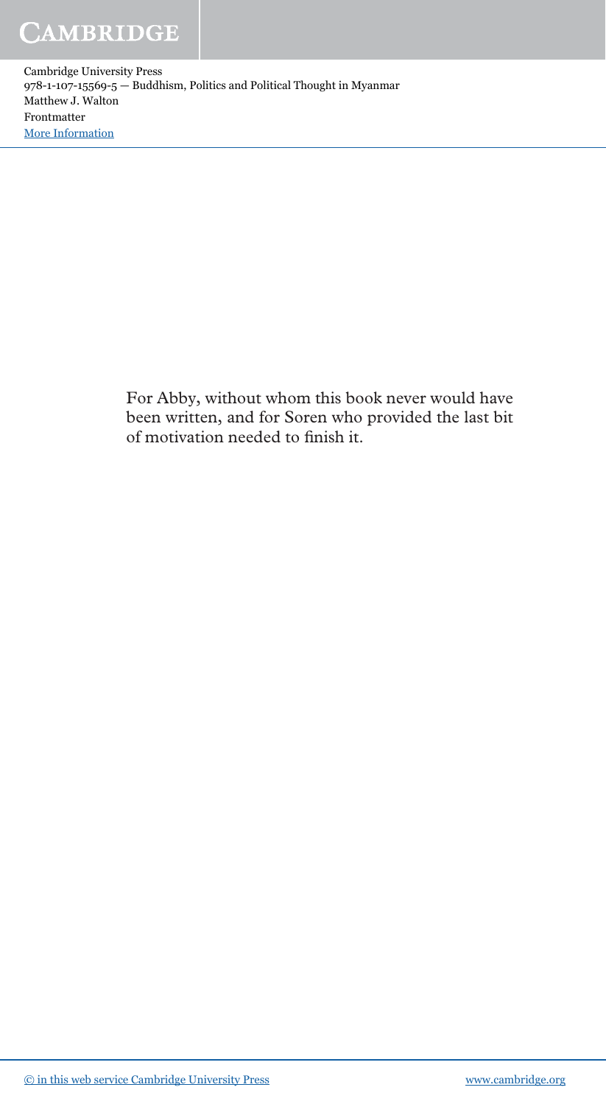Cambridge University Press 978-1-107-15569-5 — Buddhism, Politics and Political Thought in Myanmar Matthew J. Walton Frontmatter [More Information](www.cambridge.org/9781107155695)

> For Abby, without whom this book never would have been written, and for Soren who provided the last bit of motivation needed to finish it.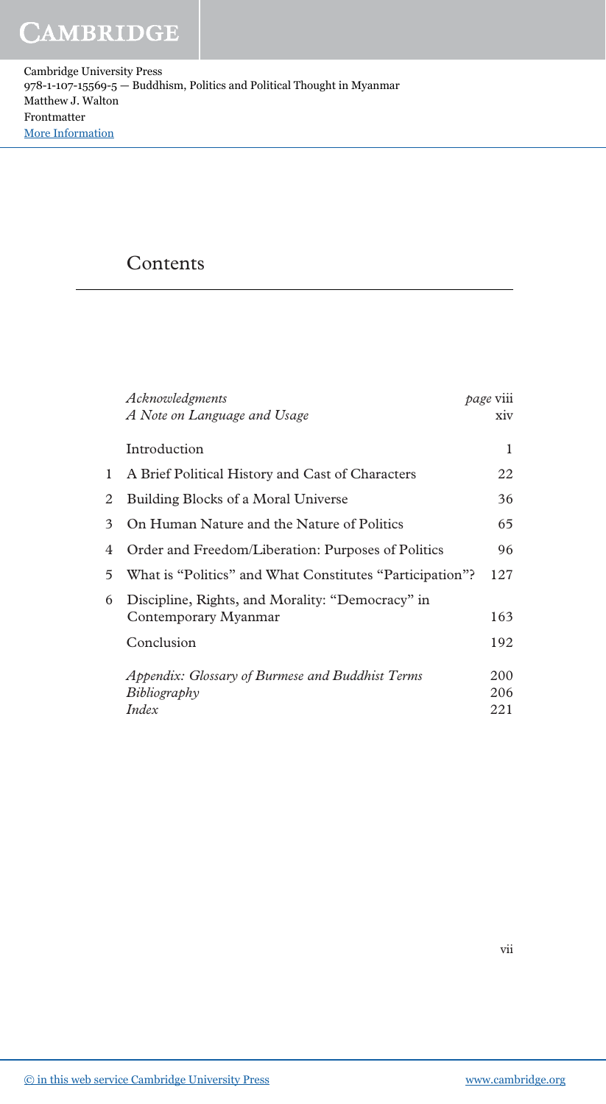### **Contents**

|   | Acknowledgments                                          | <i>page</i> viii |
|---|----------------------------------------------------------|------------------|
|   | A Note on Language and Usage                             | xiv              |
|   | Introduction                                             | 1                |
| 1 | A Brief Political History and Cast of Characters         | 22               |
| 2 | Building Blocks of a Moral Universe                      | 36               |
| 3 | On Human Nature and the Nature of Politics               | 65               |
| 4 | Order and Freedom/Liberation: Purposes of Politics       | 96               |
| 5 | What is "Politics" and What Constitutes "Participation"? | 127              |
| 6 | Discipline, Rights, and Morality: "Democracy" in         |                  |
|   | Contemporary Myanmar                                     | 163              |
|   | Conclusion                                               | 192              |
|   | Appendix: Glossary of Burmese and Buddhist Terms         | 200              |
|   | Bibliography                                             | 206              |
|   | Index                                                    | 221              |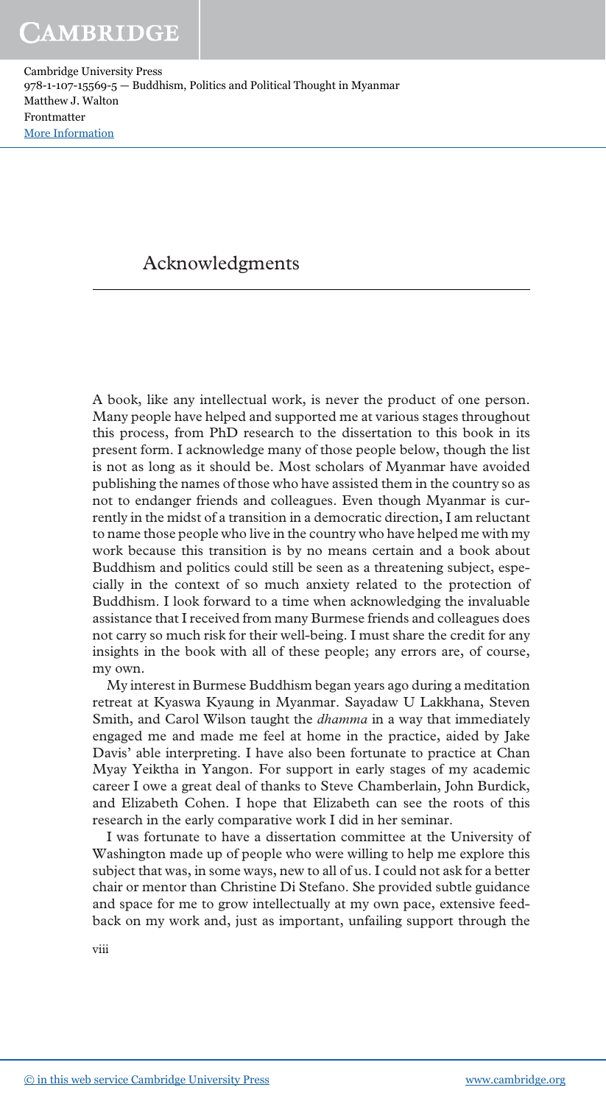### Acknowledgments

A book, like any intellectual work, is never the product of one person. Many people have helped and supported me at various stages throughout this process, from PhD research to the dissertation to this book in its present form. I acknowledge many of those people below, though the list is not as long as it should be. Most scholars of Myanmar have avoided publishing the names of those who have assisted them in the country so as not to endanger friends and colleagues. Even though Myanmar is currently in the midst of a transition in a democratic direction, I am reluctant to name those people who live in the country who have helped me with my work because this transition is by no means certain and a book about Buddhism and politics could still be seen as a threatening subject, especially in the context of so much anxiety related to the protection of Buddhism. I look forward to a time when acknowledging the invaluable assistance that I received from many Burmese friends and colleagues does not carry so much risk for their well-being. I must share the credit for any insights in the book with all of these people; any errors are, of course, my own.

My interest in Burmese Buddhism began years ago during a meditation retreat at Kyaswa Kyaung in Myanmar. Sayadaw U Lakkhana, Steven Smith, and Carol Wilson taught the *dhamma* in a way that immediately engaged me and made me feel at home in the practice, aided by Jake Davis' able interpreting. I have also been fortunate to practice at Chan Myay Yeiktha in Yangon. For support in early stages of my academic career I owe a great deal of thanks to Steve Chamberlain, John Burdick, and Elizabeth Cohen. I hope that Elizabeth can see the roots of this research in the early comparative work I did in her seminar.

I was fortunate to have a dissertation committee at the University of Washington made up of people who were willing to help me explore this subject that was, in some ways, new to all of us. I could not ask for a better chair or mentor than Christine Di Stefano. She provided subtle guidance and space for me to grow intellectually at my own pace, extensive feedback on my work and, just as important, unfailing support through the

viii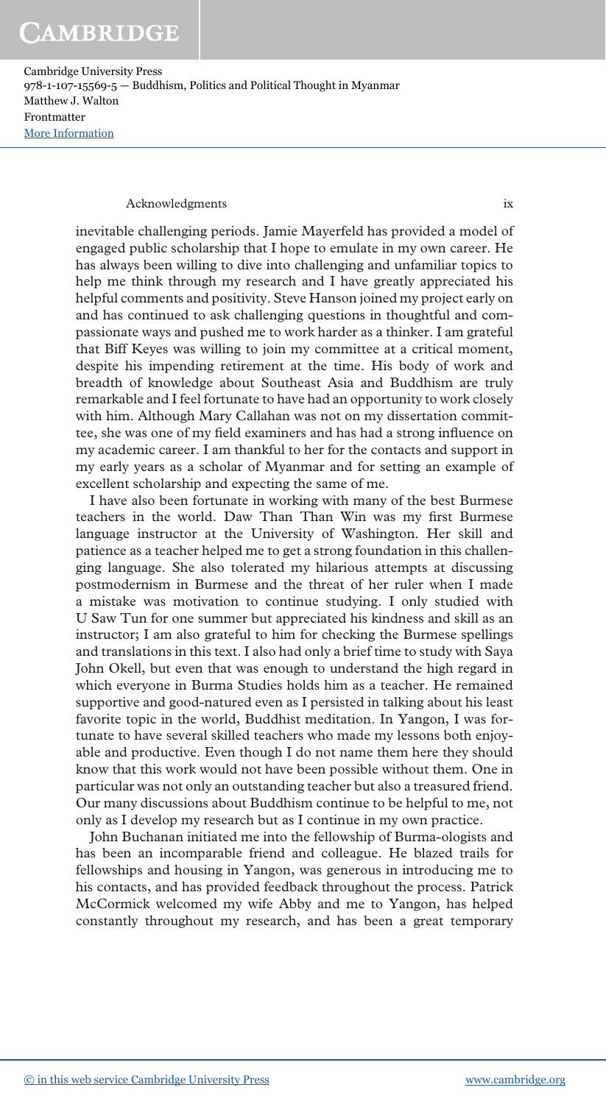Cambridge University Press 978-1-107-15569-5 — Buddhism, Politics and Political Thought in Myanmar Matthew J. Walton Frontmatter [More Information](www.cambridge.org/9781107155695)

#### Acknowledgments ix

inevitable challenging periods. Jamie Mayerfeld has provided a model of engaged public scholarship that I hope to emulate in my own career. He has always been willing to dive into challenging and unfamiliar topics to help me think through my research and I have greatly appreciated his helpful comments and positivity. Steve Hanson joined my project early on and has continued to ask challenging questions in thoughtful and compassionate ways and pushed me to work harder as a thinker. I am grateful that Biff Keyes was willing to join my committee at a critical moment, despite his impending retirement at the time. His body of work and breadth of knowledge about Southeast Asia and Buddhism are truly remarkable and I feel fortunate to have had an opportunity to work closely with him. Although Mary Callahan was not on my dissertation committee, she was one of my field examiners and has had a strong influence on my academic career. I am thankful to her for the contacts and support in my early years as a scholar of Myanmar and for setting an example of excellent scholarship and expecting the same of me.

I have also been fortunate in working with many of the best Burmese teachers in the world. Daw Than Than Win was my first Burmese language instructor at the University of Washington. Her skill and patience as a teacher helped me to get a strong foundation in this challenging language. She also tolerated my hilarious attempts at discussing postmodernism in Burmese and the threat of her ruler when I made a mistake was motivation to continue studying. I only studied with U Saw Tun for one summer but appreciated his kindness and skill as an instructor; I am also grateful to him for checking the Burmese spellings and translations in this text. I also had only a brief time to study with Saya John Okell, but even that was enough to understand the high regard in which everyone in Burma Studies holds him as a teacher. He remained supportive and good-natured even as I persisted in talking about his least favorite topic in the world, Buddhist meditation. In Yangon, I was fortunate to have several skilled teachers who made my lessons both enjoyable and productive. Even though I do not name them here they should know that this work would not have been possible without them. One in particular was not only an outstanding teacher but also a treasured friend. Our many discussions about Buddhism continue to be helpful to me, not only as I develop my research but as I continue in my own practice.

John Buchanan initiated me into the fellowship of Burma-ologists and has been an incomparable friend and colleague. He blazed trails for fellowships and housing in Yangon, was generous in introducing me to his contacts, and has provided feedback throughout the process. Patrick McCormick welcomed my wife Abby and me to Yangon, has helped constantly throughout my research, and has been a great temporary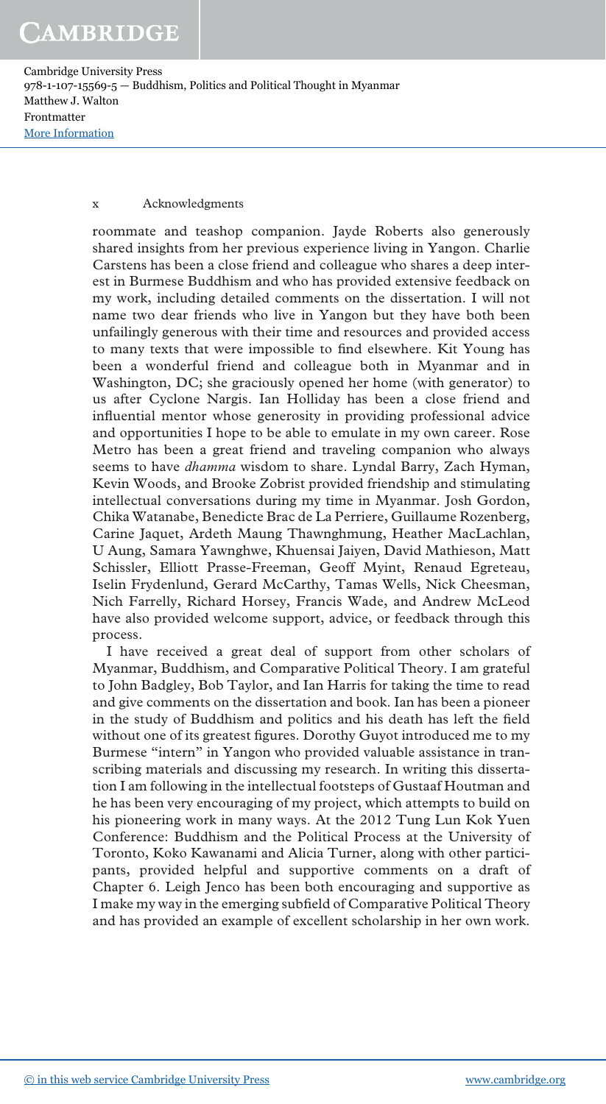Cambridge University Press 978-1-107-15569-5 — Buddhism, Politics and Political Thought in Myanmar Matthew J. Walton Frontmatter [More Information](www.cambridge.org/9781107155695)

#### x Acknowledgments

roommate and teashop companion. Jayde Roberts also generously shared insights from her previous experience living in Yangon. Charlie Carstens has been a close friend and colleague who shares a deep interest in Burmese Buddhism and who has provided extensive feedback on my work, including detailed comments on the dissertation. I will not name two dear friends who live in Yangon but they have both been unfailingly generous with their time and resources and provided access to many texts that were impossible to find elsewhere. Kit Young has been a wonderful friend and colleague both in Myanmar and in Washington, DC; she graciously opened her home (with generator) to us after Cyclone Nargis. Ian Holliday has been a close friend and influential mentor whose generosity in providing professional advice and opportunities I hope to be able to emulate in my own career. Rose Metro has been a great friend and traveling companion who always seems to have *dhamma* wisdom to share. Lyndal Barry, Zach Hyman, Kevin Woods, and Brooke Zobrist provided friendship and stimulating intellectual conversations during my time in Myanmar. Josh Gordon, Chika Watanabe, Benedicte Brac de La Perriere, Guillaume Rozenberg, Carine Jaquet, Ardeth Maung Thawnghmung, Heather MacLachlan, U Aung, Samara Yawnghwe, Khuensai Jaiyen, David Mathieson, Matt Schissler, Elliott Prasse-Freeman, Geoff Myint, Renaud Egreteau, Iselin Frydenlund, Gerard McCarthy, Tamas Wells, Nick Cheesman, Nich Farrelly, Richard Horsey, Francis Wade, and Andrew McLeod have also provided welcome support, advice, or feedback through this process.

I have received a great deal of support from other scholars of Myanmar, Buddhism, and Comparative Political Theory. I am grateful to John Badgley, Bob Taylor, and Ian Harris for taking the time to read and give comments on the dissertation and book. Ian has been a pioneer in the study of Buddhism and politics and his death has left the field without one of its greatest figures. Dorothy Guyot introduced me to my Burmese "intern" in Yangon who provided valuable assistance in transcribing materials and discussing my research. In writing this dissertation I am following in the intellectual footsteps of Gustaaf Houtman and he has been very encouraging of my project, which attempts to build on his pioneering work in many ways. At the 2012 Tung Lun Kok Yuen Conference: Buddhism and the Political Process at the University of Toronto, Koko Kawanami and Alicia Turner, along with other participants, provided helpful and supportive comments on a draft of Chapter 6. Leigh Jenco has been both encouraging and supportive as I make my way in the emerging subfield of Comparative Political Theory and has provided an example of excellent scholarship in her own work.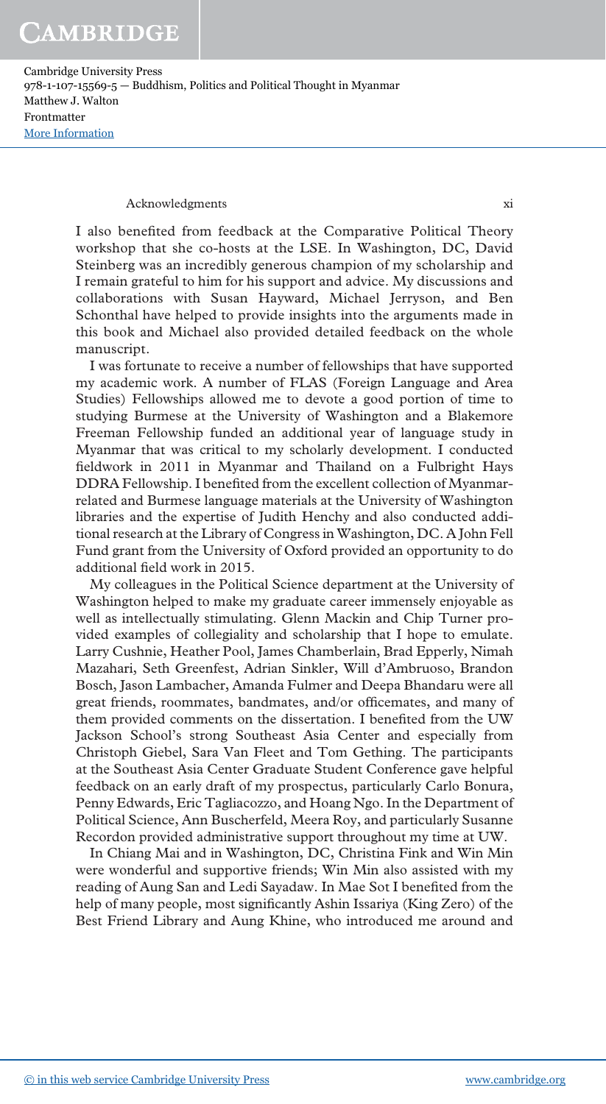Cambridge University Press 978-1-107-15569-5 — Buddhism, Politics and Political Thought in Myanmar Matthew J. Walton Frontmatter [More Information](www.cambridge.org/9781107155695)

#### Acknowledgments xi

I also benefited from feedback at the Comparative Political Theory workshop that she co-hosts at the LSE. In Washington, DC, David Steinberg was an incredibly generous champion of my scholarship and I remain grateful to him for his support and advice. My discussions and collaborations with Susan Hayward, Michael Jerryson, and Ben Schonthal have helped to provide insights into the arguments made in this book and Michael also provided detailed feedback on the whole manuscript.

I was fortunate to receive a number of fellowships that have supported my academic work. A number of FLAS (Foreign Language and Area Studies) Fellowships allowed me to devote a good portion of time to studying Burmese at the University of Washington and a Blakemore Freeman Fellowship funded an additional year of language study in Myanmar that was critical to my scholarly development. I conducted fieldwork in 2011 in Myanmar and Thailand on a Fulbright Hays DDRA Fellowship. I benefited from the excellent collection of Myanmarrelated and Burmese language materials at the University of Washington libraries and the expertise of Judith Henchy and also conducted additional research at the Library of Congress in Washington, DC. A John Fell Fund grant from the University of Oxford provided an opportunity to do additional field work in 2015.

My colleagues in the Political Science department at the University of Washington helped to make my graduate career immensely enjoyable as well as intellectually stimulating. Glenn Mackin and Chip Turner provided examples of collegiality and scholarship that I hope to emulate. Larry Cushnie, Heather Pool, James Chamberlain, Brad Epperly, Nimah Mazahari, Seth Greenfest, Adrian Sinkler, Will d'Ambruoso, Brandon Bosch, Jason Lambacher, Amanda Fulmer and Deepa Bhandaru were all great friends, roommates, bandmates, and/or officemates, and many of them provided comments on the dissertation. I benefited from the UW Jackson School's strong Southeast Asia Center and especially from Christoph Giebel, Sara Van Fleet and Tom Gething. The participants at the Southeast Asia Center Graduate Student Conference gave helpful feedback on an early draft of my prospectus, particularly Carlo Bonura, Penny Edwards, Eric Tagliacozzo, and Hoang Ngo. In the Department of Political Science, Ann Buscherfeld, Meera Roy, and particularly Susanne Recordon provided administrative support throughout my time at UW.

In Chiang Mai and in Washington, DC, Christina Fink and Win Min were wonderful and supportive friends; Win Min also assisted with my reading of Aung San and Ledi Sayadaw. In Mae Sot I benefited from the help of many people, most significantly Ashin Issariya (King Zero) of the Best Friend Library and Aung Khine, who introduced me around and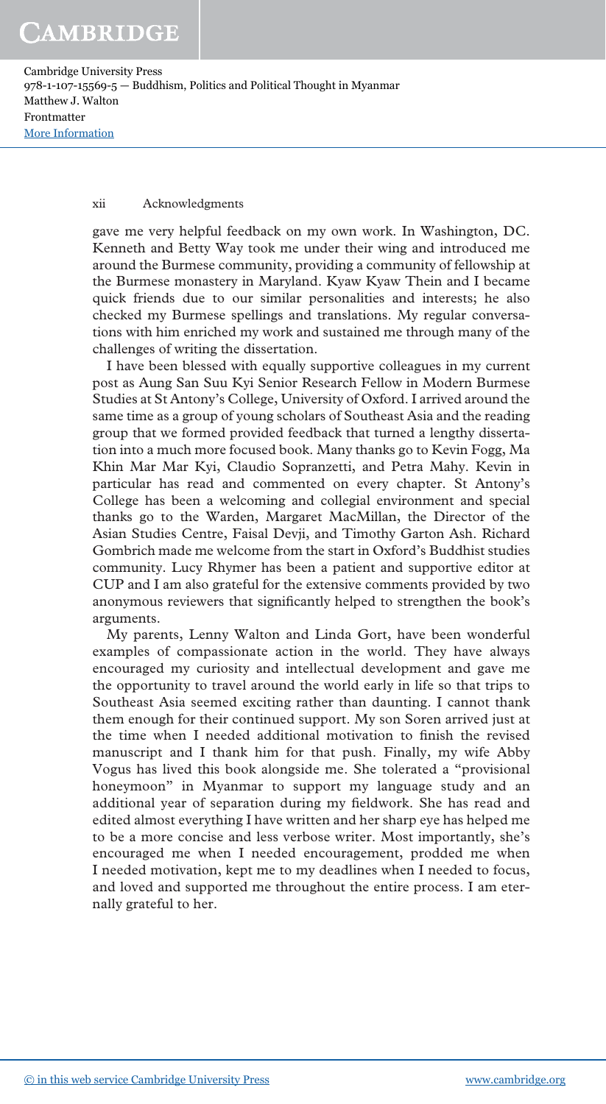Cambridge University Press 978-1-107-15569-5 — Buddhism, Politics and Political Thought in Myanmar Matthew J. Walton Frontmatter [More Information](www.cambridge.org/9781107155695)

#### xii Acknowledgments

gave me very helpful feedback on my own work. In Washington, DC. Kenneth and Betty Way took me under their wing and introduced me around the Burmese community, providing a community of fellowship at the Burmese monastery in Maryland. Kyaw Kyaw Thein and I became quick friends due to our similar personalities and interests; he also checked my Burmese spellings and translations. My regular conversations with him enriched my work and sustained me through many of the challenges of writing the dissertation.

I have been blessed with equally supportive colleagues in my current post as Aung San Suu Kyi Senior Research Fellow in Modern Burmese Studies at St Antony's College, University of Oxford. I arrived around the same time as a group of young scholars of Southeast Asia and the reading group that we formed provided feedback that turned a lengthy dissertation into a much more focused book. Many thanks go to Kevin Fogg, Ma Khin Mar Mar Kyi, Claudio Sopranzetti, and Petra Mahy. Kevin in particular has read and commented on every chapter. St Antony's College has been a welcoming and collegial environment and special thanks go to the Warden, Margaret MacMillan, the Director of the Asian Studies Centre, Faisal Devji, and Timothy Garton Ash. Richard Gombrich made me welcome from the start in Oxford's Buddhist studies community. Lucy Rhymer has been a patient and supportive editor at CUP and I am also grateful for the extensive comments provided by two anonymous reviewers that significantly helped to strengthen the book's arguments.

My parents, Lenny Walton and Linda Gort, have been wonderful examples of compassionate action in the world. They have always encouraged my curiosity and intellectual development and gave me the opportunity to travel around the world early in life so that trips to Southeast Asia seemed exciting rather than daunting. I cannot thank them enough for their continued support. My son Soren arrived just at the time when I needed additional motivation to finish the revised manuscript and I thank him for that push. Finally, my wife Abby Vogus has lived this book alongside me. She tolerated a "provisional honeymoon" in Myanmar to support my language study and an additional year of separation during my fieldwork. She has read and edited almost everything I have written and her sharp eye has helped me to be a more concise and less verbose writer. Most importantly, she's encouraged me when I needed encouragement, prodded me when I needed motivation, kept me to my deadlines when I needed to focus, and loved and supported me throughout the entire process. I am eternally grateful to her.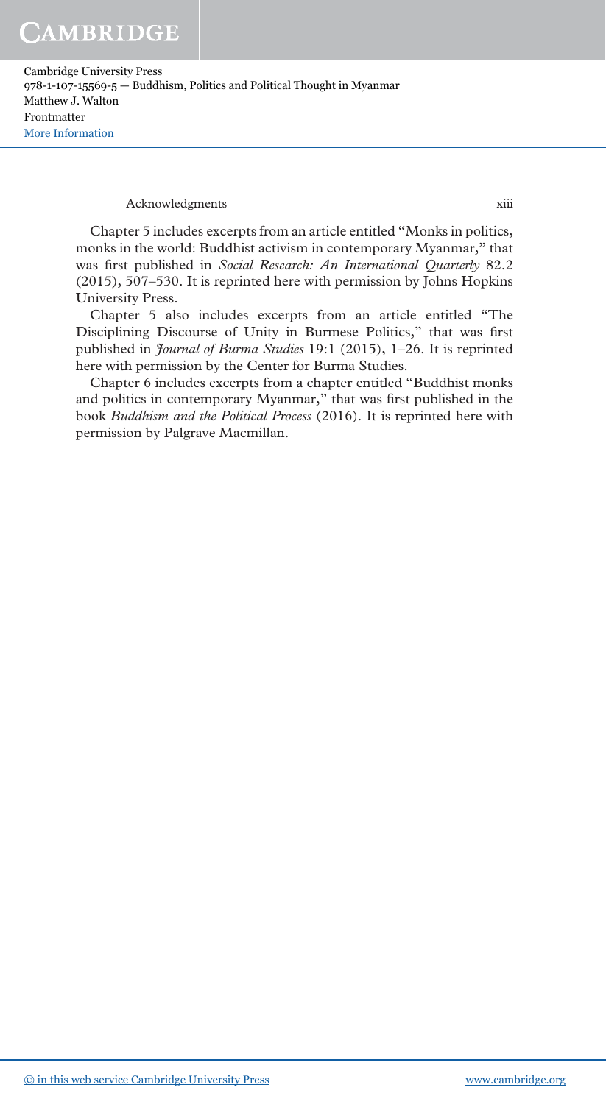Cambridge University Press 978-1-107-15569-5 — Buddhism, Politics and Political Thought in Myanmar Matthew J. Walton Frontmatter [More Information](www.cambridge.org/9781107155695)

#### Acknowledgments xiii

Chapter 5 includes excerpts from an article entitled "Monks in politics, monks in the world: Buddhist activism in contemporary Myanmar," that was first published in Social Research: An International Quarterly 82.2 (2015), 507–530. It is reprinted here with permission by Johns Hopkins University Press.

Chapter 5 also includes excerpts from an article entitled "The Disciplining Discourse of Unity in Burmese Politics," that was first published in *Journal of Burma Studies* 19:1 (2015), 1-26. It is reprinted here with permission by the Center for Burma Studies.

Chapter 6 includes excerpts from a chapter entitled "Buddhist monks and politics in contemporary Myanmar," that was first published in the book Buddhism and the Political Process (2016). It is reprinted here with permission by Palgrave Macmillan.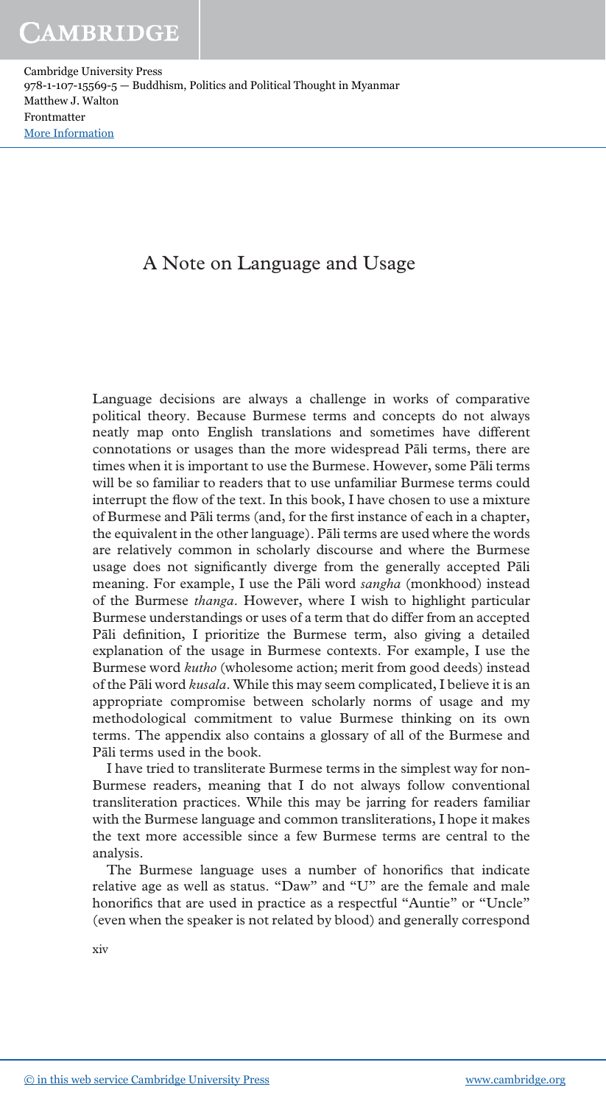### A Note on Language and Usage

Language decisions are always a challenge in works of comparative political theory. Because Burmese terms and concepts do not always neatly map onto English translations and sometimes have different connotations or usages than the more widespread Pali terms, there are times when it is important to use the Burmese. However, some Pali terms will be so familiar to readers that to use unfamiliar Burmese terms could interrupt the flow of the text. In this book, I have chosen to use a mixture of Burmese and Pāli terms (and, for the first instance of each in a chapter, the equivalent in the other language). Pali terms are used where the words are relatively common in scholarly discourse and where the Burmese usage does not significantly diverge from the generally accepted Pāli meaning. For example, I use the Pali word sangha (monkhood) instead of the Burmese thanga. However, where I wish to highlight particular Burmese understandings or uses of a term that do differ from an accepted Pāli definition, I prioritize the Burmese term, also giving a detailed explanation of the usage in Burmese contexts. For example, I use the Burmese word kutho (wholesome action; merit from good deeds) instead of the Pāli word kusala. While this may seem complicated, I believe it is an appropriate compromise between scholarly norms of usage and my methodological commitment to value Burmese thinking on its own terms. The appendix also contains a glossary of all of the Burmese and Pāli terms used in the book.

I have tried to transliterate Burmese terms in the simplest way for non-Burmese readers, meaning that I do not always follow conventional transliteration practices. While this may be jarring for readers familiar with the Burmese language and common transliterations, I hope it makes the text more accessible since a few Burmese terms are central to the analysis.

The Burmese language uses a number of honorifics that indicate relative age as well as status. "Daw" and "U" are the female and male honorifics that are used in practice as a respectful "Auntie" or "Uncle" (even when the speaker is not related by blood) and generally correspond

xiv